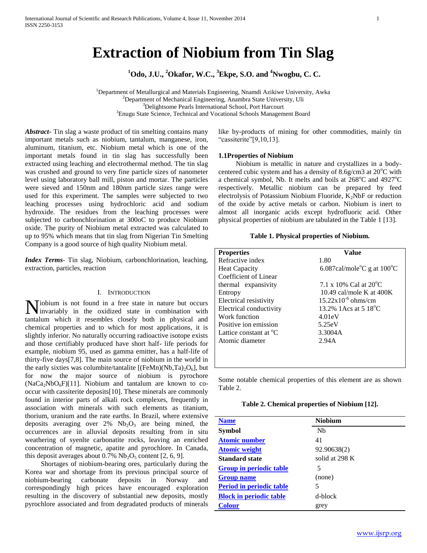# **Extraction of Niobium from Tin Slag**

**<sup>1</sup>Odo, J.U., <sup>2</sup>Okafor, W.C., <sup>3</sup>Ekpe, S.O. and <sup>4</sup>Nwogbu, C. C.**

<sup>1</sup>Department of Metallurgical and Materials Engineering, Nnamdi Azikiwe University, Awka  $2D$ epartment of Mechanical Engineering, Anambra State University, Uli <sup>3</sup>Delightsome Pearls International School, Port Harcourt <sup>3</sup>Enugu State Science, Technical and Vocational Schools Management Board

*Abstract***-** Tin slag a waste product of tin smelting contains many important metals such as niobium, tantalum, manganese, iron, aluminum, titanium, etc. Niobium metal which is one of the important metals found in tin slag has successfully been extracted using leaching and electrothermal method. The tin slag was crushed and ground to very fine particle sizes of nanometer level using laboratory ball mill, piston and mortar. The particles were sieved and 150nm and 180nm particle sizes range were used for this experiment. The samples were subjected to two leaching processes using hydrochloric acid and sodium hydroxide. The residues from the leaching processes were subjected to carbonchlorination at 300oC to produce Niobium oxide. The purity of Niobium metal extracted was calculated to up to 95% which means that tin slag from Nigerian Tin Smelting Company is a good source of high quality Niobium metal.

*Index Terms*- Tin slag, Niobium, carbonchlorination, leaching, extraction, particles, reaction

## I. INTRODUCTION

iobium is not found in a free state in nature but occurs Niobium is not found in a free state in nature but occurs invariably in the oxidized state in combination with tantalum which it resembles closely both in physical and chemical properties and to which for most applications, it is slightly inferior. No naturally occurring radioactive isotope exists and those certifiably produced have short half- life periods for example, niobium 95, used as gamma emitter, has a half-life of thirty-five days[7,8]. The main source of niobium in the world in the early sixties was columbite/tantalite  $[(FeMn)(Nb, Ta)<sub>2</sub>O<sub>6</sub>]$ , but for now the major source of niobium is pyrochore  $(NaCa<sub>2</sub>NbO<sub>6</sub>F)[11]$ . Niobium and tantalum are known to cooccur with cassiterite deposits[10]. These minerals are commonly found in interior parts of alkali rock complexes, frequently in association with minerals with such elements as titanium, thorium, uranium and the rate earths. In Brazil, where extensive deposits averaging over  $2\%$  Nb<sub>2</sub>O<sub>3</sub> are being mined, the occurrences are in alluvial deposits resulting from in situ weathering of syenlte carbonatite rocks, leaving an enriched concentration of magnetic, apatite and pyrochlore. In Canada, this deposit averages about  $0.7\%$  Nb<sub>2</sub>O<sub>5</sub> content [2, 6, 9].

 Shortages of niobium-bearing ores, particularly during the Korea war and shortage from its previous principal source of niobium-bearing carbonate deposits in Norway and correspondingly high prices have encouraged exploration resulting in the discovery of substantial new deposits, mostly pyrochlore associated and from degradated products of minerals

like by-products of mining for other commodities, mainly tin "cassiterite"[9,10,13].

## **1.1Properties of Niobium**

 Niobium is metallic in nature and crystallizes in a bodycentered cubic system and has a density of  $8.6g/cm3$  at  $20^{\circ}$ C with a chemical symbol, Nb. It melts and boils at  $268^{\circ}$ C and  $4927^{\circ}$ C respectively. Metallic niobium can be prepared by feed electrolysis of Potassium Niobium Fluoride,  $K_2NbF$  or reduction of the oxide by active metals or carbon. Niobium is inert to almost all inorganic acids except hydrofluoric acid. Other physical properties of niobium are tabulated in the Table 1 [13].

## **Table 1. Physical properties of Niobium.**

| <b>Properties</b>               | Value                                             |
|---------------------------------|---------------------------------------------------|
| Refractive index                | 1.80                                              |
| <b>Heat Capacity</b>            | 6.087cal/mole <sup>o</sup> C g at $100^{\circ}$ C |
| Coefficient of Linear           |                                                   |
| thermal expansivity             | 7.1 x 10% Cal at $20^{\circ}$ C                   |
| Entropy                         | $10.49$ cal/mole K at $400K$                      |
| Electrical resistivity          | $15.22 \times 10^{-6}$ ohms/cm                    |
| Electrical conductivity         | 13.2% 1 Acs at 5 18 °C                            |
| Work function                   | 4.01eV                                            |
| Positive ion emission           | 5.25eV                                            |
| Lattice constant at $^{\circ}C$ | 3.3004A                                           |
| Atomic diameter                 | 2.94A                                             |
|                                 |                                                   |
|                                 |                                                   |
|                                 |                                                   |

Some notable chemical properties of this element are as shown Table 2.

**Table 2. Chemical properties of Niobium [12].**

| <b>Name</b>                     | <b>Niobium</b> |
|---------------------------------|----------------|
| <b>Symbol</b>                   | Nh             |
| <b>Atomic number</b>            | 41             |
| <b>Atomic weight</b>            | 92.90638(2)    |
| <b>Standard state</b>           | solid at 298 K |
| <b>Group in periodic table</b>  | 5              |
| <b>Group name</b>               | (none)         |
| <b>Period in periodic table</b> | 5              |
| <b>Block in periodic table</b>  | d-block        |
| <b>Colour</b>                   | grey           |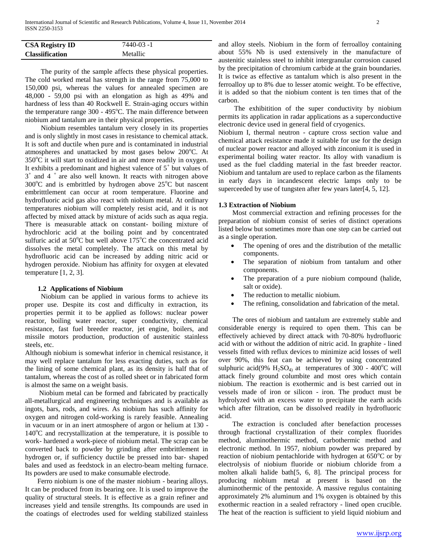| <b>CSA Registry ID</b> | 7440-03 -1 |
|------------------------|------------|
| <b>Classification</b>  | Metallic   |

 The purity of the sample affects these physical properties. The cold worked metal has strength in the range from 75,000 to 150,000 psi, whereas the values for annealed specimen are 48,000 - 59,00 psi with an elongation as high as 49% and hardness of less than 40 Rockwell E. Strain-aging occurs within the temperature range  $300 - 495^{\circ}$ C. The main difference between niobium and tantalum are in their physical properties.

 Niobium resembles tantalum very closely in its properties and is only slightly in most cases in resistance to chemical attack. It is soft and ductile when pure and is contaminated in industrial atmospheres and unattacked by most gases below 200°C. At  $350^{\circ}$ C it will start to oxidized in air and more readily in oxygen. It exhibits a predominant and highest valence of  $5<sup>+</sup>$  but values of  $3<sup>+</sup>$  and  $4<sup>+</sup>$  are also well known. It reacts with nitrogen above  $300^{\circ}$ C and is embrittled by hydrogen above  $25^{\circ}$ C but nascent embritttlement can occur at room temperature. Fluorine and hydrofluoric acid gas also react with niobium metal. At ordinary temperatures niobium will completely resist acid, and it is not affected by mixed attack by mixture of acids such as aqua regia. There is measurable attack on constant- boiling mixture of hydrochloric acid at the boiling point and by concentrated sulfuric acid at  $50^{\circ}$ C but well above  $175^{\circ}$ C the concentrated acid dissolves the metal completely. The attack on this metal by hydrofluoric acid can be increased by adding nitric acid or hydrogen peroxide. Niobium has affinity for oxygen at elevated temperature [1, 2, 3].

## **1.2 Applications of Niobium**

 Niobium can be applied in various forms to achieve its proper use. Despite its cost and difficulty in extraction, its properties permit it to be applied as follows: nuclear power reactor, boiling water reactor, super conductivity, chemical resistance, fast fuel breeder reactor, jet engine, boilers, and missile motors production, production of austenitic stainless steels, etc.

Although niobium is somewhat inferior in chemical resistance, it may well replace tantalum for less exacting duties, such as for the lining of some chemical plant, as its density is half that of tantalum, whereas the cost of as rolled sheet or in fabricated form is almost the same on a weight basis.

 Niobium metal can be formed and fabricated by practically all-metallurgical and engineering techniques and is available as ingots, bars, rods, and wires. As niobium has such affinity for oxygen and nitrogen cold-working is rarely feasible. Annealing in vacuum or in an inert atmosphere of argon or helium at 130 -  $140^{\circ}$ C and recrystallization at the temperature, it is possible to work- hardened a work-piece of niobium metal. The scrap can be converted back to powder by grinding after embrittlement in hydrogen or, if sufficiency ductile be pressed into bar- shaped bales and used as feedstock in an electro-beam melting furnace. Its powders are used to make consumable electrode.

 Ferro niobium is one of the master niobium - bearing alloys. It can be produced from its bearing ore. It is used to improve the quality of structural steels. It is effective as a grain refiner and increases yield and tensile strengths. Its compounds are used in the coatings of electrodes used for welding stabilized stainless and alloy steels. Niobium in the form of ferroalloy containing about 55% Nb is used extensively in the manufacture of austenitic stainless steel to inhibit intergranular corrosion caused by the precipitation of chromium carbide at the grain boundaries. It is twice as effective as tantalum which is also present in the ferroalloy up to 8% due to lesser atomic weight. To be effective, it is added so that the niobium content is ten times that of the carbon.

 The exhibitition of the super conductivity by niobium permits its application in radar applications as a superconductive electronic device used in general field of cryogenics.

Niobium I, thermal neutron - capture cross section value and chemical attack resistance made it suitable for use for the design of nuclear power reactor and alloyed with zinconium it is used in experimental boiling water reactor. Its alloy with vanadium is used as the fuel cladding material in the fast breeder reactor. Niobium and tantalum are used to replace carbon as the filaments in early days in incandescent electric lamps only to be superceeded by use of tungsten after few years later[4, 5, 12].

## **1.3 Extraction of Niobium**

Most commercial extraction and refining processes for the preparation of niobium consist of series of distinct operations listed below but sometimes more than one step can be carried out as a single operation.

- The opening of ores and the distribution of the metallic components.
- The separation of niobium from tantalum and other components.
- The preparation of a pure niobium compound (halide, salt or oxide).
- The reduction to metallic niobium.
- The refining, consolidation and fabrication of the metal.

 The ores of niobium and tantalum are extremely stable and considerable energy is required to open them. This can be effectively achieved by direct attack with 70-80% hydrofluoric acid with or without the addition of nitric acid. In graphite - lined vessels fitted with reflux devices to minimize acid losses of well over 90%, this feat can be achieved by using concentrated sulphuric acid(9%  $H_2SO_4$ ) at temperatures of 300 - 400<sup>o</sup>C will attack finely ground columbite and most ores which contain niobium. The reaction is exothermic and is best carried out in vessels made of iron or silicon - iron. The product must be hydrolyzed with an excess water to precipitate the earth acids which after filtration, can be dissolved readily in hydrofluoric acid.

 The extraction is concluded after benefaction processes through fractional crystallization of their complex fluorides method, aluminothermic method, carbothermic method and electronic method. In 1957, niobium powder was prepared by reaction of niobium pentachloride with hydrogen at  $650^{\circ}$ C or by electrolysis of niobium fluoride or niobium chloride from a molten alkali halide bath[5, 6, 8]. The principal process for producing niobium metal at present is based on the aluminothermic of the pentoxide. A massive regulus containing approximately 2% aluminum and 1% oxygen is obtained by this exothermic reaction in a sealed refractory - lined open crucible. The heat of the reaction is sufficient to yield liquid niobium and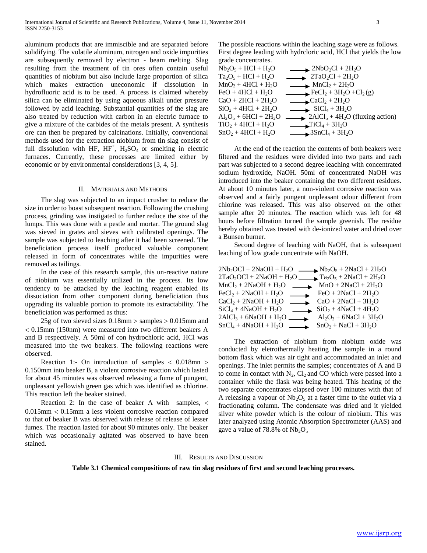aluminum products that are immiscible and are separated before solidifying. The volatile aluminum, nitrogen and oxide impurities are subsequently removed by electron - beam melting. Slag resulting from the treatment of tin ores often contain useful quantities of niobium but also include large proportion of silica which makes extraction uneconomic if dissolution in hydrofluoric acid is to be used. A process is claimed whereby silica can be eliminated by using aqueous alkali under pressure followed by acid leaching. Substantial quantities of the slag are also treated by reduction with carbon in an electric furnace to give a mixture of the carbides of the metals present. A synthesis ore can then be prepared by calcinations. Initially, conventional methods used for the extraction niobium from tin slag consist of full dissolution with HF,  $HF^+$ ,  $H_2SO_4$  or smelting in electric furnaces. Currently, these processes are limited either by economic or by environmental considerations [3, 4, 5].

#### II. MATERIALS AND METHODS

 The slag was subjected to an impact crusher to reduce the size in order to boast subsequent reaction. Following the crushing process, grinding was instigated to further reduce the size of the lumps. This was done with a pestle and mortar. The ground slag was sieved in grates and sieves with calibrated openings. The sample was subjected to leaching after it had been screened. The beneficiation process itself produced valuable component released in form of concentrates while the impurities were removed as tailings.

 In the case of this research sample, this un-reactive nature of niobium was essentially utilized in the process. Its low tendency to be attacked by the leaching reagent enabled its dissociation from other component during beneficiation thus upgrading its valuable portion to promote its extractability. The beneficiation was performed as thus:

25g of two sieved sizes  $0.18$ mm  $>$  samples  $> 0.015$ mm and 0.15mm (150nm) were measured into two different beakers A and B respectively. A 50ml of con hydrochloric acid, HCl was measured into the two beakers. The following reactions were observed.

Reaction 1:- On introduction of samples  $\langle 0.018 \text{mn} \rangle$ 0.150mm into beaker B, a violent corrosive reaction which lasted for about 45 minutes was observed releasing a fume of pungent, unpleasant yellowish green gas which was identified as chlorine. This reaction left the beaker stained.

 Reaction 2: In the case of beaker A with samples,  $0.015$ mm  $< 0.15$ mm a less violent corrosive reaction compared to that of beaker B was observed with release of release of lesser fumes. The reaction lasted for about 90 minutes only. The beaker which was occasionally agitated was observed to have been stained.

The possible reactions within the leaching stage were as follows. First degree leading with hydrcloric acid, HCl that yields the low grade concentrates.

| $Nb_2O_5 + HCl + H_2O$        | $\rightarrow$ 2NbO <sub>2</sub> Cl + 2H <sub>2</sub> O                   |
|-------------------------------|--------------------------------------------------------------------------|
| $Ta_2O_5 + HCl + H_2O$        | $2TaO_2Cl + 2H_2O$                                                       |
| $MnO2 + 4HCl + H2O$           | $\longrightarrow$ MnCl <sub>2</sub> + 2H <sub>2</sub> O                  |
| FeO + 4HCl + H <sub>2</sub> O | $\rightarrow$ FeCl <sub>2</sub> + 3H <sub>2</sub> O +Cl <sub>2</sub> (g) |
| $CaO + 2HCl + 2H2O$           | $\triangle$ CaCl <sub>2</sub> + 2H <sub>2</sub> O                        |
| $SiO2 + 4HCl + 2H2O$          | $\rightarrow$ SiCl <sub>4</sub> + 3H <sub>2</sub> O                      |
| $Al_2O_5 + 6HCl + 2H_2O$      | $\rightarrow$ 2AlCl <sub>5</sub> + 4H <sub>2</sub> O (fluxing action)    |
| $TiO2 + 4HCl + H2O$           | $\rightarrow$ TiCl <sub>4</sub> + 3H <sub>2</sub> O                      |
| $SnO2 + 4HCl + H2O$           | $\rightarrow$ 3SnCl <sub>4</sub> + 3H <sub>2</sub> O                     |
|                               |                                                                          |

 At the end of the reaction the contents of both beakers were filtered and the residues were divided into two parts and each part was subjected to a second degree leaching with concentrated sodium hydroxide, NaOH. 50ml of concentrated NaOH was introduced into the beaker containing the two different residues. At about 10 minutes later, a non-violent corrosive reaction was observed and a fairly pungent unpleasant odour different from chlorine was released. This was also observed on the other sample after 20 minutes. The reaction which was left for 48 hours before filtration turned the sample greenish. The residue hereby obtained was treated with de-ionized water and dried over a Bunsen burner.

 Second degree of leaching with NaOH, that is subsequent leaching of low grade concentrate with NaOH.

| $2Nb2OC1 + 2NaOH + H2O$                                                | $Nb2O5 + 2NaCl + 2H2O$               |
|------------------------------------------------------------------------|--------------------------------------|
| $2TaO_2OCl + 2NaOH + H_2O$ $\longrightarrow$ $Ta_2O_5 + 2NaCl + 2H_2O$ |                                      |
| $MnCl2 + 2NaOH + H2O$                                                  | $MnO + 2NaCl + 2H2O$<br>$\mathbf{R}$ |
| $FeCl2 + 2NaOH + H2O$<br><b>Contract Contract</b>                      | $FeO + 2NaCl + 2H2O$                 |
| $CaCl2 + 2NaOH + H2O$                                                  | $CaO + 2NaCl + 3H2O$                 |
| $SiCl_4 + 4NaOH + H_2O$                                                | $SiO2 + 4NaCl + 4H2O$                |
| $2AICI_3 + 6NaOH + H_2O$                                               | $Al_2O_3 + 6NaCl + 3H_2O$            |
| $SnCl4 + 4NaOH + H2O$                                                  | $SnO2 + NaCl + 3H2O$                 |

 The extraction of niobium from niobium oxide was conducted by eletrothermally heating the sample in a round bottom flask which was air tight and accommodated an inlet and openings. The inlet permits the samples; concentrates of A and B to come in contact with  $N_2$ ,  $Cl_2$  and CO which were passed into a container while the flask was being heated. This heating of the two separate concentrates elapsed over 100 minutes with that of A releasing a vapour of  $Nb<sub>2</sub>O<sub>5</sub>$  at a faster time to the outlet via a fractionating column. The condensate was dried and it yielded silver white powder which is the colour of niobium. This was later analyzed using Atomic Absorption Spectrometer (AAS) and gave a value of 78.8% of  $Nb<sub>2</sub>O<sub>5</sub>$ 

## III. RESULTS AND DISCUSSION

**Table 3.1 Chemical compositions of raw tin slag residues of first and second leaching processes.**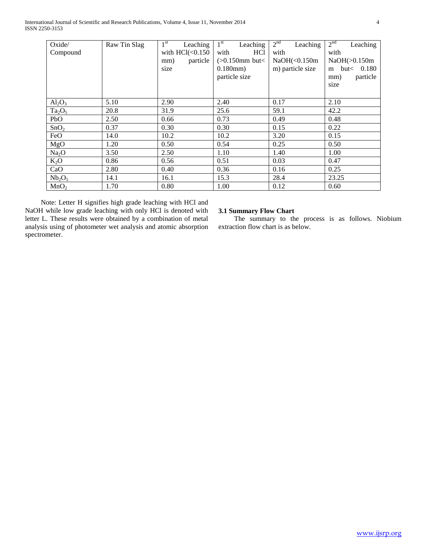International Journal of Scientific and Research Publications, Volume 4, Issue 11, November 2014 4 ISSN 2250-3153

| Oxide/<br>Compound             | Raw Tin Slag | 1 <sup>st</sup><br>Leaching<br>with $HCI(<0.150$<br>particle<br>mm)<br>size | 1 <sup>st</sup><br>Leaching<br>with<br>HC <sub>1</sub><br>$(>0.150$ mm but $<$<br>$0.180$ mm)<br>particle size | $2^{\overline{\text{nd}}}$<br>Leaching<br>with<br>$NaOH(0.150mm) particle size$ | 2 <sup>nd</sup><br>Leaching<br>with<br>NaOH(>0.150m)<br>m but $< 0.180$<br>particle<br>mm)<br>size |
|--------------------------------|--------------|-----------------------------------------------------------------------------|----------------------------------------------------------------------------------------------------------------|---------------------------------------------------------------------------------|----------------------------------------------------------------------------------------------------|
| $Al_2O_3$                      | 5.10         | 2.90                                                                        | 2.40                                                                                                           | 0.17                                                                            | 2.10                                                                                               |
| $Ta_2O_5$                      | 20.8         | 31.9                                                                        | 25.6                                                                                                           | 59.1                                                                            | 42.2                                                                                               |
| PbO                            | 2.50         | 0.66                                                                        | 0.73                                                                                                           | 0.49                                                                            | 0.48                                                                                               |
| SnO <sub>2</sub>               | 0.37         | 0.30                                                                        | 0.30                                                                                                           | 0.15                                                                            | 0.22                                                                                               |
| FeO                            | 14.0         | 10.2                                                                        | 10.2                                                                                                           | 3.20                                                                            | 0.15                                                                                               |
| MgO                            | 1.20         | 0.50                                                                        | 0.54                                                                                                           | 0.25                                                                            | 0.50                                                                                               |
| Na <sub>2</sub> O              | 3.50         | 2.50                                                                        | 1.10                                                                                                           | 1.40                                                                            | 1.00                                                                                               |
| $K_2O$                         | 0.86         | 0.56                                                                        | 0.51                                                                                                           | 0.03                                                                            | 0.47                                                                                               |
| CaO                            | 2.80         | 0.40                                                                        | 0.36                                                                                                           | 0.16                                                                            | 0.25                                                                                               |
| Nb <sub>2</sub> O <sub>5</sub> | 14.1         | 16.1                                                                        | 15.3                                                                                                           | 28.4                                                                            | 23.25                                                                                              |
| MnO <sub>2</sub>               | 1.70         | 0.80                                                                        | 1.00                                                                                                           | 0.12                                                                            | 0.60                                                                                               |

 Note: Letter H signifies high grade leaching with HCl and NaOH while low grade leaching with only HCl is denoted with letter L. These results were obtained by a combination of metal analysis using of photometer wet analysis and atomic absorption spectrometer.

# **3.1 Summary Flow Chart**

 The summary to the process is as follows. Niobium extraction flow chart is as below.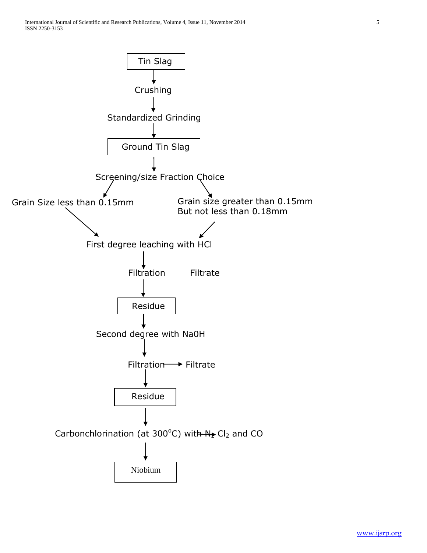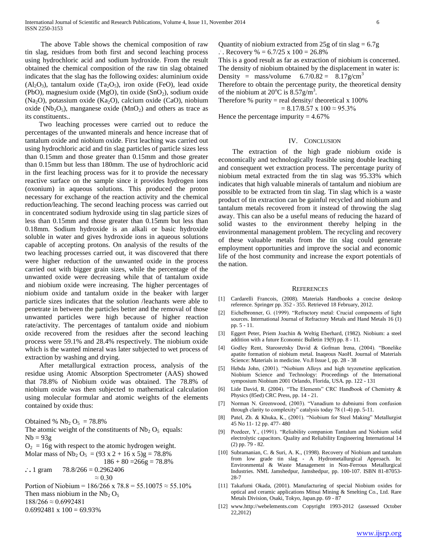The above Table shows the chemical composition of raw tin slag, residues from both first and second leaching process using hydrochloric acid and sodium hydroxide. From the result obtained the chemical composition of the raw tin slag obtained indicates that the slag has the following oxides: aluminium oxide  $(AI<sub>2</sub>O<sub>3</sub>)$ , tantalum oxide  $(Ta<sub>2</sub>O<sub>5</sub>)$ , iron oxide (FeO), lead oxide (PbO), magnesium oxide (MgO), tin oxide  $(SnO<sub>2</sub>)$ , sodium oxide (Na<sub>2</sub>O), potassium oxide (Ka<sub>2</sub>O), calcium oxide (CaO), niobium oxide ( $Nb<sub>2</sub>O<sub>5</sub>$ ), manganese oxide ( $MnO<sub>2</sub>$ ) and others as trace as its constituents..

 Two leaching processes were carried out to reduce the percentages of the unwanted minerals and hence increase that of tantalum oxide and niobium oxide. First leaching was carried out using hydrochloric acid and tin slag particles of particle sizes less than 0.15mm and those greater than 0.15mm and those greater than 0.15mm but less than 180mm. The use of hydrochloric acid in the first leaching process was for it to provide the necessary reactive surface on the sample since it provides hydrogen ions (oxonium) in aqueous solutions. This produced the proton necessary for exchange of the reaction activity and the chemical reduction/leaching. The second leaching process was carried out in concentrated sodium hydroxide using tin slag particle sizes of less than 0.15mm and those greater than 0.15mm but less than 0.18mm. Sodium hydroxide is an alkali or basic hydroxide soluble in water and gives hydroxide ions in aqueous solutions capable of accepting protons. On analysis of the results of the two leaching processes carried out, it was discovered that there were higher reduction of the unwanted oxide in the process carried out with bigger grain sizes, while the percentage of the unwanted oxide were decreasing while that of tantalum oxide and niobium oxide were increasing. The higher percentages of niobium oxide and tantalum oxide in the beaker with larger particle sizes indicates that the solution /leachants were able to penetrate in between the particles better and the removal of those unwanted particles were high because of higher reaction rate/activity. The percentages of tantalum oxide and niobium oxide recovered from the residues after the second leaching process were 59.1% and 28.4% respectively. The niobium oxide which is the wanted mineral was later subjected to wet process of extraction by washing and drying.

 After metallurgical extraction process, analysis of the residue using Atomic Absorption Spectrometer (AAS) showed that 78.8% of Niobium oxide was obtained. The 78.8% of niobium oxide was then subjected to mathematical calculation using molecular formular and atomic weights of the elements contained by oxide thus:

Obtained %  $Nb_2 O_5 = 78.8%$ 

The atomic weight of the constituents of  $Nb<sub>2</sub> O<sub>5</sub>$  equals:  $Nb = 93g$  $O_2 = 16g$  with respect to the atomic hydrogen weight.

Molar mass of Nb<sub>2</sub> O<sub>5</sub> = (93 x 2 + 16 x 5)g = 78.8%

$$
186 + 80 = 266g = 78.8\%
$$

**. .**   $78.8/266 = 0.2962406$  $\approx 0.30$ Portion of Niobium =  $186/266 \times 78.8 = 55.10075 \approx 55.10\%$ Then mass niobium in the  $Nb<sub>2</sub> Os$ 188/266 ≈ 0.6992481  $0.6992481 \times 100 = 69.93\%$ 

Quantity of niobium extracted from  $25g$  of tin slag =  $6.7g$ .. Recovery % =  $6.7/25 \times 100 = 26.8\%$ 

This is a good result as far as extraction of niobium is concerned. The density of niobium obtained by the displacement in water is: Density = mass/volume  $6.7/0.82 = 8.17$  g/cm<sup>3</sup>

Therefore to obtain the percentage purity, the theoretical density of the niobium at  $20^{\circ}$ C is  $8.57$ g/m<sup>3</sup>.

Therefore % purity = real density/ theoretical x  $100\%$ 

 $= 8.17/8.57 \times 100 \approx 95.3\%$ 

Hence the percentage impurity  $= 4.67\%$ 

## IV. CONCLUSION

 The extraction of the high grade niobium oxide is economically and technologically feasible using double leaching and consequent wet extraction process. The percentage purity of niobium metal extracted from the tin slag was 95.33% which indicates that high valuable minerals of tantalum and niobium are possible to be extracted from tin slag. Tin slag which is a waste product of tin extraction can be gainful recycled and niobium and tantalum metals recovered from it instead of throwing the slag away. This can also be a useful means of reducing the hazard of solid wastes to the environment thereby helping in the environmental management problem. The recycling and recovery of these valuable metals from the tin slag could generate employment opportunities and improve the social and economic life of the host community and increase the export potentials of the nation.

#### **REFERENCES**

- [1] Cardarelli Francois, (2008). Materials Handbooks a concise desktop reference. Springer pp. 352 - 355. Retrieved 18 February, 2012.
- [2] Eichelbronner, G. (1999). "Refractory metal: Crucial components of light sources. International Journal of Refractory Metals and Hand Metals 16 (1) pp. 5 - 11.
- [3] Eggert Peter, Priem Joachin & Weltig Eberhard, (1982). Niobium: a steel addition with a future Economic Bulletin 19(9) pp. 8 - 11.
- [4] Godley Rent, Starosretsky David & Gofman Irena, (2004). "Bonelike apatite formation of niobium metal. Inaqeous NaoH. Journal of Materials Science: Materials in medicine. Vo.8 Issue l, pp. 28 - 38
- [5] Hebda John, (2001). "Niobium Alloys and high teyzenetine application. Niobium Science and Technology: Proceedings of the International symposium Niobium 2001 Orlando, Florida, USA. pp. 122 - 131
- [6] Lide David, R. (2004). "The Elements" CRC Handbook of Chemistry & Physics (85ed) CRC Press, pp. 14 - 21.
- [7] Norman N. Greenwood, (2003). "Vanadium to dubniumi from confusion through clarity to complexity" catalysis today 78 (1-4) pp. 5-11.
- [8] Patel, Zh. & Khuka, K., (2001). "Niobium for Steel Making" Metallurgist 45 No 11- 12 pp. 477- 480
- [9] Pozdeer, Y., (1991). "Reliability companion Tantalum and Niobium solid electrolytic capacitors. Quality and Reliability Engineering International 14 (2) pp. 79 - 82.
- [10] Subramanian, C. & Suri, A. K., (1998). Recovery of Niobium and tantalum from low grade tin slag - A Hydrometallurgical Approach. In: Environmental & Waste Management in Non-Ferrous Metallurgical Industries. NML Jamshedpur, Jamshedpur, pp. 100-107. ISBN 81-87053- 28-7
- [11] Takafumi Okada, (2001). Manufacturing of special Niobium oxides for optical and ceramic applications Mitsui Mining & Smelting Co., Ltd. Rare Metals Division, Osaki, Tokyo, Japan.pp. 69 - 87
- [12] www.http://webelements.com Copyright 1993-2012 (assessed October 22,2012)